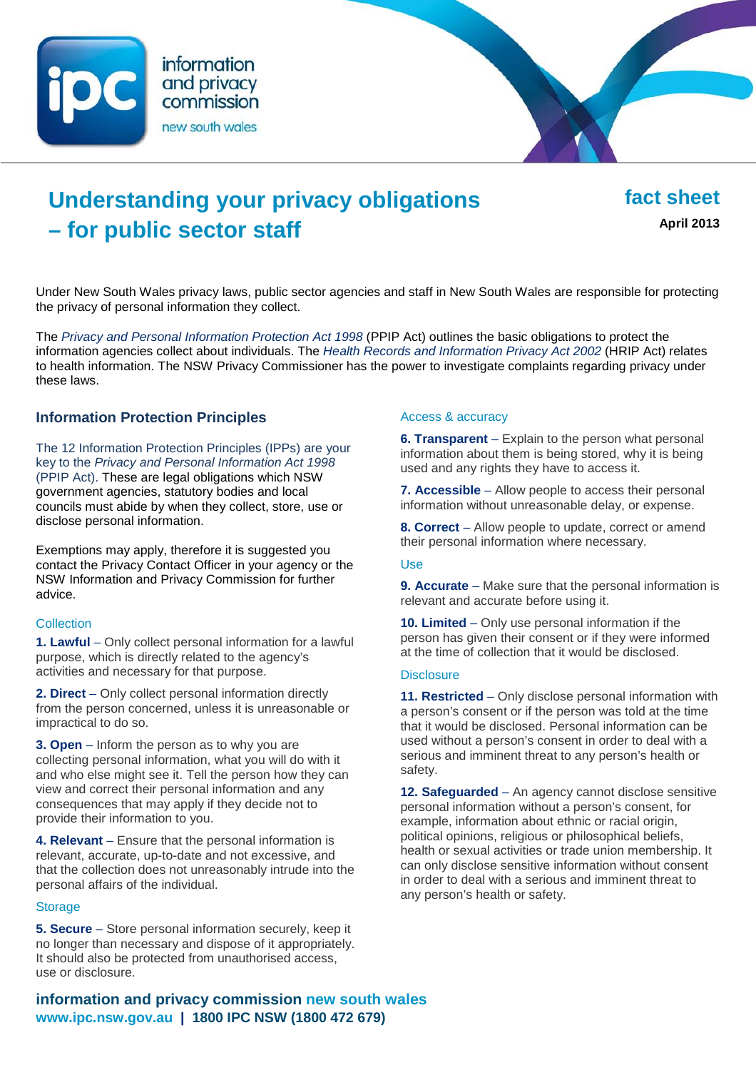



# **Understanding your privacy obligations – for public sector staff**

**fact sheet April 2013**

Under New South Wales privacy laws, public sector agencies and staff in New South Wales are responsible for protecting the privacy of personal information they collect.

The *[Privacy and Personal Information Protection Act 1998](http://www.legislation.nsw.gov.au/maintop/view/inforce/act+133+1998+cd+0+N)* (PPIP Act) outlines the basic obligations to protect the information agencies collect about individuals. The *[Health Records and Information Privacy Act 2002](http://www.legislation.nsw.gov.au/maintop/view/inforce/act+71+2002+cd+0+N)* (HRIP Act) relates to health information. The NSW Privacy Commissioner has the power to investigate complaints regarding privacy under these laws.

## **Information Protection Principles**

The 12 Information Protection Principles (IPPs) are your key to the *Privacy and Personal Information Act 1998*  (PPIP Act). These are legal obligations which NSW government agencies, statutory bodies and local councils must abide by when they collect, store, use or disclose personal information.

Exemptions may apply, therefore it is suggested you contact the Privacy Contact Officer in your agency or the NSW Information and Privacy Commission for further advice.

#### **Collection**

**1. Lawful** – Only collect personal information for a lawful purpose, which is directly related to the agency's activities and necessary for that purpose.

**2. Direct** – Only collect personal information directly from the person concerned, unless it is unreasonable or impractical to do so.

**3. Open** – Inform the person as to why you are collecting personal information, what you will do with it and who else might see it. Tell the person how they can view and correct their personal information and any consequences that may apply if they decide not to provide their information to you.

**4. Relevant** – Ensure that the personal information is relevant, accurate, up-to-date and not excessive, and that the collection does not unreasonably intrude into the personal affairs of the individual.

#### **Storage**

**5. Secure** – Store personal information securely, keep it no longer than necessary and dispose of it appropriately. It should also be protected from unauthorised access, use or disclosure.

#### Access & accuracy

**6. Transparent** – Explain to the person what personal information about them is being stored, why it is being used and any rights they have to access it.

**7. Accessible** – Allow people to access their personal information without unreasonable delay, or expense.

**8. Correct** – Allow people to update, correct or amend their personal information where necessary.

#### Use

**9. Accurate** – Make sure that the personal information is relevant and accurate before using it.

**10. Limited** – Only use personal information if the person has given their consent or if they were informed at the time of collection that it would be disclosed.

#### **Disclosure**

**11. Restricted** – Only disclose personal information with a person's consent or if the person was told at the time that it would be disclosed. Personal information can be used without a person's consent in order to deal with a serious and imminent threat to any person's health or safety.

**12. Safeguarded** – An agency cannot disclose sensitive personal information without a person's consent, for example, information about ethnic or racial origin, political opinions, religious or philosophical beliefs, health or sexual activities or trade union membership. It can only disclose sensitive information without consent in order to deal with a serious and imminent threat to any person's health or safety.

**information and privacy commission new south wales www.ipc.nsw.gov.au | 1800 IPC NSW (1800 472 679)**